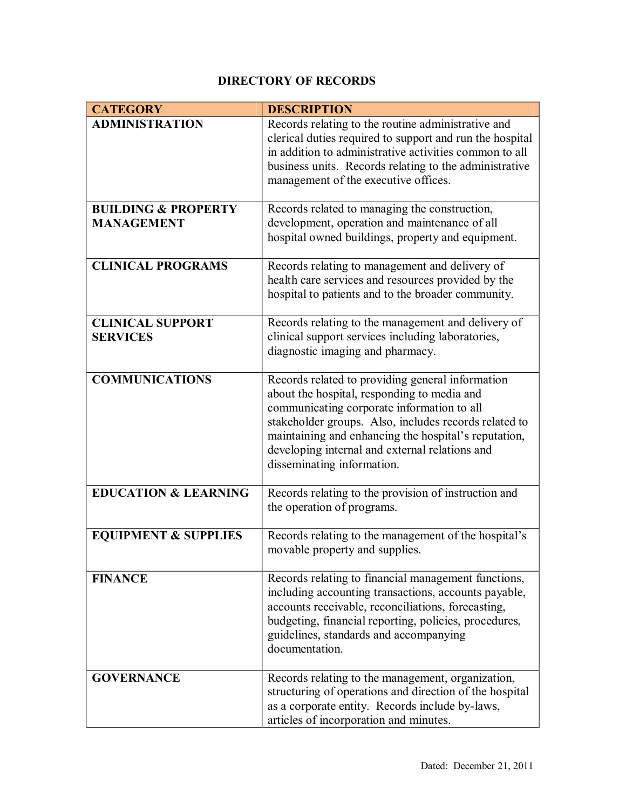## **DIRECTORY OF RECORDS**

| <b>CATEGORY</b>                                     | <b>DESCRIPTION</b>                                                                                                                                                                                                                                                                                                                             |
|-----------------------------------------------------|------------------------------------------------------------------------------------------------------------------------------------------------------------------------------------------------------------------------------------------------------------------------------------------------------------------------------------------------|
| <b>ADMINISTRATION</b>                               | Records relating to the routine administrative and<br>clerical duties required to support and run the hospital<br>in addition to administrative activities common to all<br>business units. Records relating to the administrative<br>management of the executive offices.                                                                     |
| <b>BUILDING &amp; PROPERTY</b><br><b>MANAGEMENT</b> | Records related to managing the construction,<br>development, operation and maintenance of all<br>hospital owned buildings, property and equipment.                                                                                                                                                                                            |
| <b>CLINICAL PROGRAMS</b>                            | Records relating to management and delivery of<br>health care services and resources provided by the<br>hospital to patients and to the broader community.                                                                                                                                                                                     |
| <b>CLINICAL SUPPORT</b><br><b>SERVICES</b>          | Records relating to the management and delivery of<br>clinical support services including laboratories,<br>diagnostic imaging and pharmacy.                                                                                                                                                                                                    |
| <b>COMMUNICATIONS</b>                               | Records related to providing general information<br>about the hospital, responding to media and<br>communicating corporate information to all<br>stakeholder groups. Also, includes records related to<br>maintaining and enhancing the hospital's reputation,<br>developing internal and external relations and<br>disseminating information. |
| <b>EDUCATION &amp; LEARNING</b>                     | Records relating to the provision of instruction and<br>the operation of programs.                                                                                                                                                                                                                                                             |
| <b>EQUIPMENT &amp; SUPPLIES</b>                     | Records relating to the management of the hospital's<br>movable property and supplies.                                                                                                                                                                                                                                                         |
| <b>FINANCE</b>                                      | Records relating to financial management functions,<br>including accounting transactions, accounts payable,<br>accounts receivable, reconciliations, forecasting,<br>budgeting, financial reporting, policies, procedures,<br>guidelines, standards and accompanying<br>documentation.                                                         |
| <b>GOVERNANCE</b>                                   | Records relating to the management, organization,<br>structuring of operations and direction of the hospital<br>as a corporate entity. Records include by-laws,<br>articles of incorporation and minutes.                                                                                                                                      |